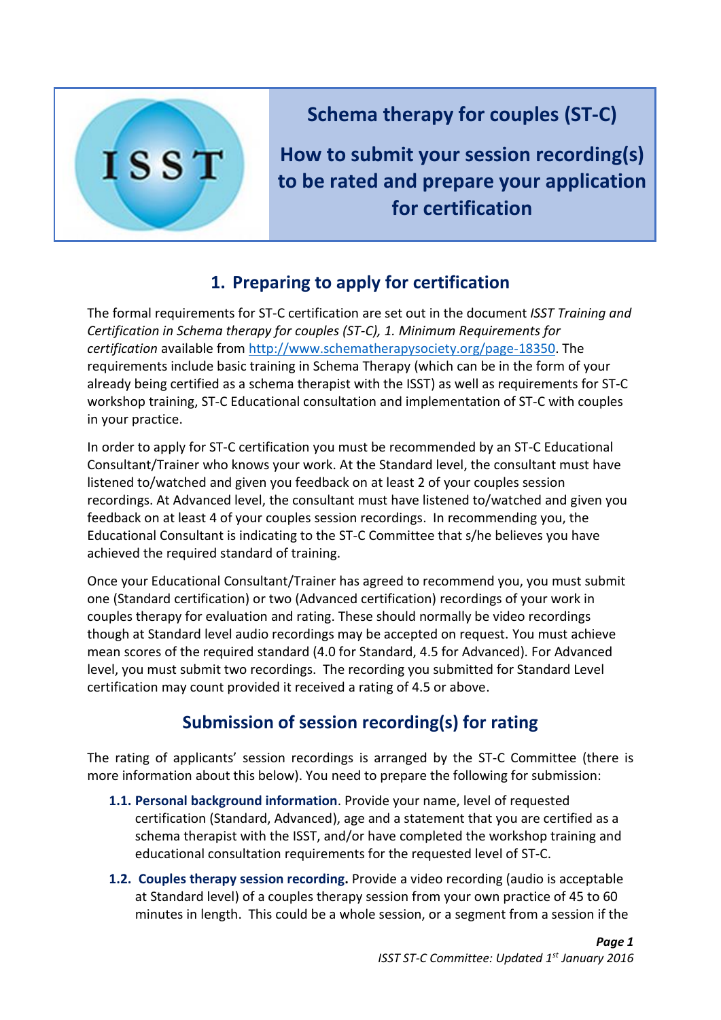

**Schema therapy for couples (ST-C)** 

**How to submit your session recording(s) to be rated and prepare your application for certification**

## **1. Preparing to apply for certification**

The formal requirements for ST-C certification are set out in the document *ISST Training and Certification in Schema therapy for couples (ST-C), 1. Minimum Requirements for certification* available from [http://www.schematherapysociety.org/page-18350.](http://www.schematherapysociety.org/page-18350) The requirements include basic training in Schema Therapy (which can be in the form of your already being certified as a schema therapist with the ISST) as well as requirements for ST-C workshop training, ST-C Educational consultation and implementation of ST-C with couples in your practice.

In order to apply for ST-C certification you must be recommended by an ST-C Educational Consultant/Trainer who knows your work. At the Standard level, the consultant must have listened to/watched and given you feedback on at least 2 of your couples session recordings. At Advanced level, the consultant must have listened to/watched and given you feedback on at least 4 of your couples session recordings. In recommending you, the Educational Consultant is indicating to the ST-C Committee that s/he believes you have achieved the required standard of training.

Once your Educational Consultant/Trainer has agreed to recommend you, you must submit one (Standard certification) or two (Advanced certification) recordings of your work in couples therapy for evaluation and rating. These should normally be video recordings though at Standard level audio recordings may be accepted on request. You must achieve mean scores of the required standard (4.0 for Standard, 4.5 for Advanced). For Advanced level, you must submit two recordings. The recording you submitted for Standard Level certification may count provided it received a rating of 4.5 or above.

## **Submission of session recording(s) for rating**

The rating of applicants' session recordings is arranged by the ST-C Committee (there is more information about this below). You need to prepare the following for submission:

- **1.1. Personal background information**. Provide your name, level of requested certification (Standard, Advanced), age and a statement that you are certified as a schema therapist with the ISST, and/or have completed the workshop training and educational consultation requirements for the requested level of ST-C.
- **1.2. Couples therapy session recording.** Provide a video recording (audio is acceptable at Standard level) of a couples therapy session from your own practice of 45 to 60 minutes in length. This could be a whole session, or a segment from a session if the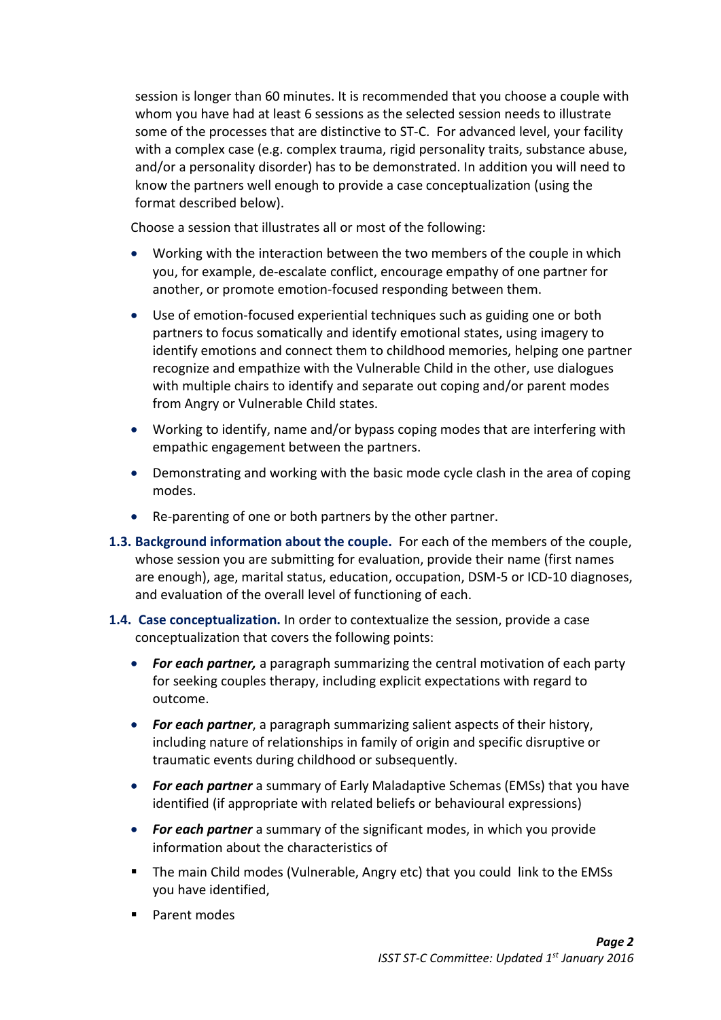session is longer than 60 minutes. It is recommended that you choose a couple with whom you have had at least 6 sessions as the selected session needs to illustrate some of the processes that are distinctive to ST-C. For advanced level, your facility with a complex case (e.g. complex trauma, rigid personality traits, substance abuse, and/or a personality disorder) has to be demonstrated. In addition you will need to know the partners well enough to provide a case conceptualization (using the format described below).

Choose a session that illustrates all or most of the following:

- Working with the interaction between the two members of the couple in which you, for example, de-escalate conflict, encourage empathy of one partner for another, or promote emotion-focused responding between them.
- Use of emotion-focused experiential techniques such as guiding one or both partners to focus somatically and identify emotional states, using imagery to identify emotions and connect them to childhood memories, helping one partner recognize and empathize with the Vulnerable Child in the other, use dialogues with multiple chairs to identify and separate out coping and/or parent modes from Angry or Vulnerable Child states.
- Working to identify, name and/or bypass coping modes that are interfering with empathic engagement between the partners.
- Demonstrating and working with the basic mode cycle clash in the area of coping modes.
- Re-parenting of one or both partners by the other partner.
- **1.3. Background information about the couple.** For each of the members of the couple, whose session you are submitting for evaluation, provide their name (first names are enough), age, marital status, education, occupation, DSM-5 or ICD-10 diagnoses, and evaluation of the overall level of functioning of each.
- **1.4. Case conceptualization.** In order to contextualize the session, provide a case conceptualization that covers the following points:
	- *For each partner,* a paragraph summarizing the central motivation of each party for seeking couples therapy, including explicit expectations with regard to outcome.
	- *For each partner*, a paragraph summarizing salient aspects of their history, including nature of relationships in family of origin and specific disruptive or traumatic events during childhood or subsequently.
	- *For each partner* a summary of Early Maladaptive Schemas (EMSs) that you have identified (if appropriate with related beliefs or behavioural expressions)
	- *For each partner* a summary of the significant modes, in which you provide information about the characteristics of
	- The main Child modes (Vulnerable, Angry etc) that you could link to the EMSs you have identified,
	- Parent modes